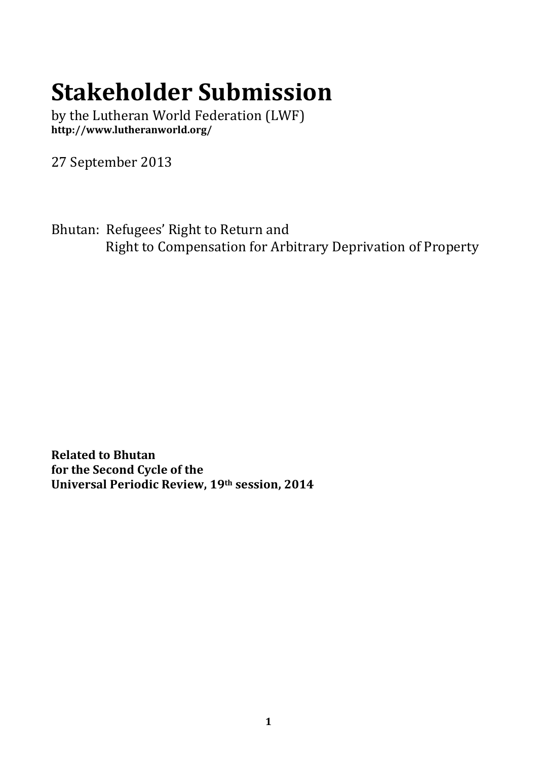## **Stakeholder Submission**

by the Lutheran World Federation (LWF) **http://www.lutheranworld.org/**

27 September 2013

Bhutan: Refugees' Right to Return and Right to Compensation for Arbitrary Deprivation of Property

**Related to Bhutan for the Second Cycle of the Universal Periodic Review, 19th session, 2014**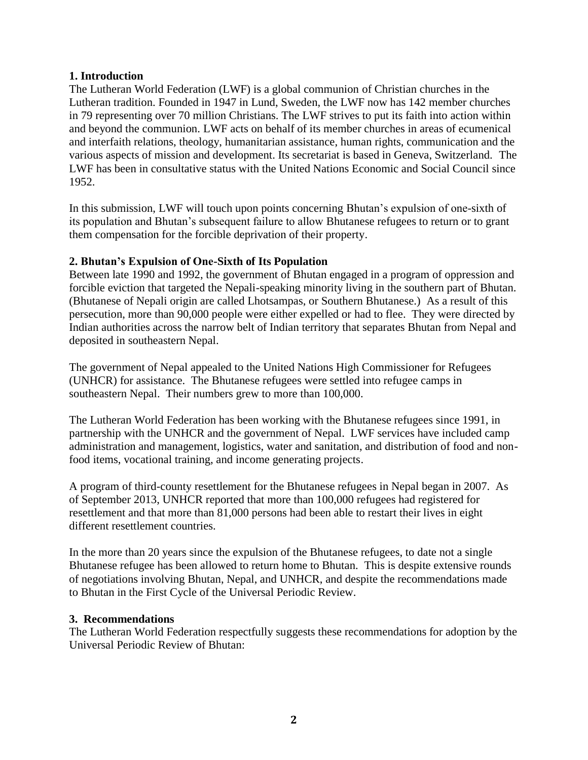## **1. Introduction**

The Lutheran World Federation (LWF) is a global communion of Christian churches in the Lutheran tradition. Founded in 1947 in Lund, Sweden, the LWF now has 142 member churches in 79 representing over 70 million Christians. The LWF strives to put its faith into action within and beyond the communion. LWF acts on behalf of its member churches in areas of ecumenical and interfaith relations, theology, humanitarian assistance, human rights, communication and the various aspects of mission and development. Its secretariat is based in Geneva, Switzerland. The LWF has been in consultative status with the United Nations Economic and Social Council since 1952.

In this submission, LWF will touch upon points concerning Bhutan's expulsion of one-sixth of its population and Bhutan's subsequent failure to allow Bhutanese refugees to return or to grant them compensation for the forcible deprivation of their property.

## **2. Bhutan's Expulsion of One-Sixth of Its Population**

Between late 1990 and 1992, the government of Bhutan engaged in a program of oppression and forcible eviction that targeted the Nepali-speaking minority living in the southern part of Bhutan. (Bhutanese of Nepali origin are called Lhotsampas, or Southern Bhutanese.) As a result of this persecution, more than 90,000 people were either expelled or had to flee. They were directed by Indian authorities across the narrow belt of Indian territory that separates Bhutan from Nepal and deposited in southeastern Nepal.

The government of Nepal appealed to the United Nations High Commissioner for Refugees (UNHCR) for assistance. The Bhutanese refugees were settled into refugee camps in southeastern Nepal. Their numbers grew to more than 100,000.

The Lutheran World Federation has been working with the Bhutanese refugees since 1991, in partnership with the UNHCR and the government of Nepal. LWF services have included camp administration and management, logistics, water and sanitation, and distribution of food and nonfood items, vocational training, and income generating projects.

A program of third-county resettlement for the Bhutanese refugees in Nepal began in 2007. As of September 2013, UNHCR reported that more than 100,000 refugees had registered for resettlement and that more than 81,000 persons had been able to restart their lives in eight different resettlement countries.

In the more than 20 years since the expulsion of the Bhutanese refugees, to date not a single Bhutanese refugee has been allowed to return home to Bhutan. This is despite extensive rounds of negotiations involving Bhutan, Nepal, and UNHCR, and despite the recommendations made to Bhutan in the First Cycle of the Universal Periodic Review.

## **3. Recommendations**

The Lutheran World Federation respectfully suggests these recommendations for adoption by the Universal Periodic Review of Bhutan: